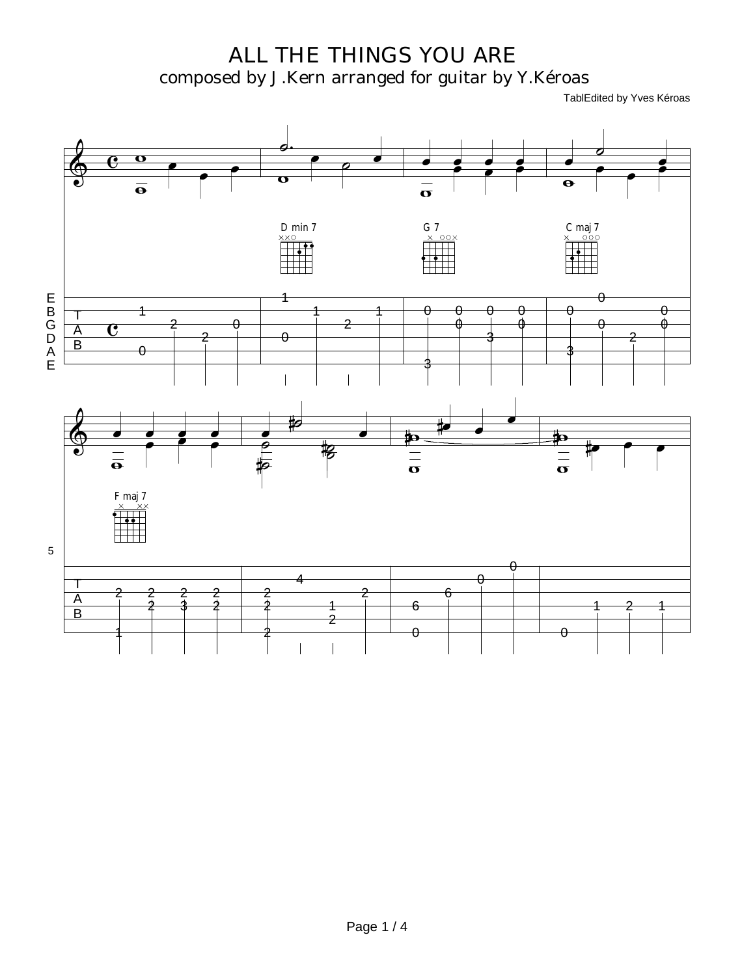ALL THE THINGS YOU ARE composed by J.Kern arranged for guitar by Y.Kéroas

TablEdited by Yves Kéroas

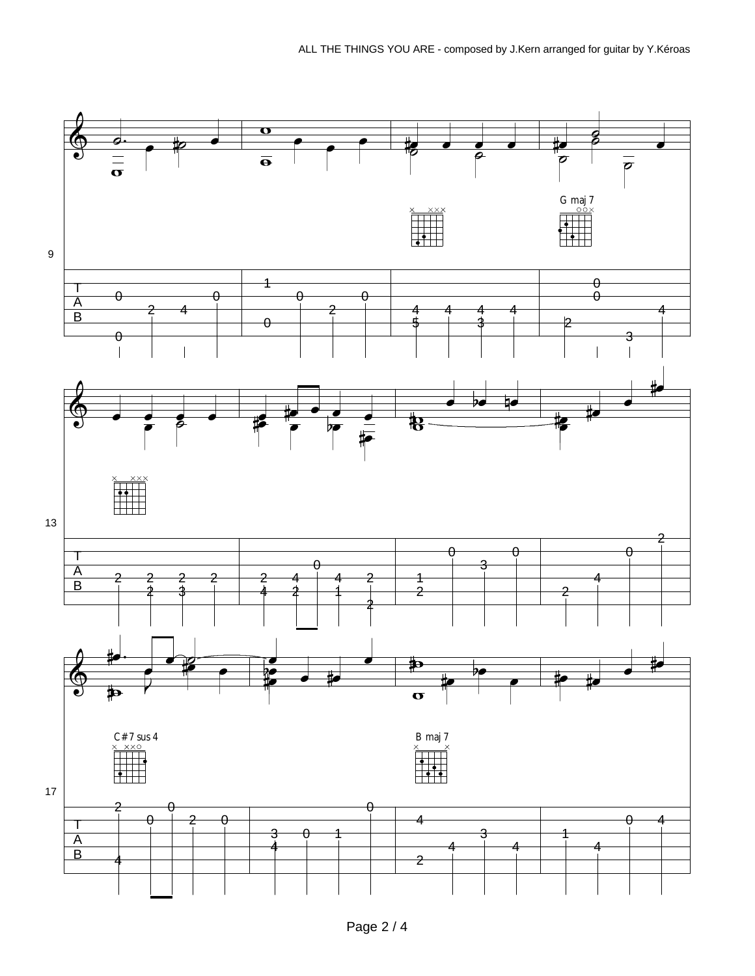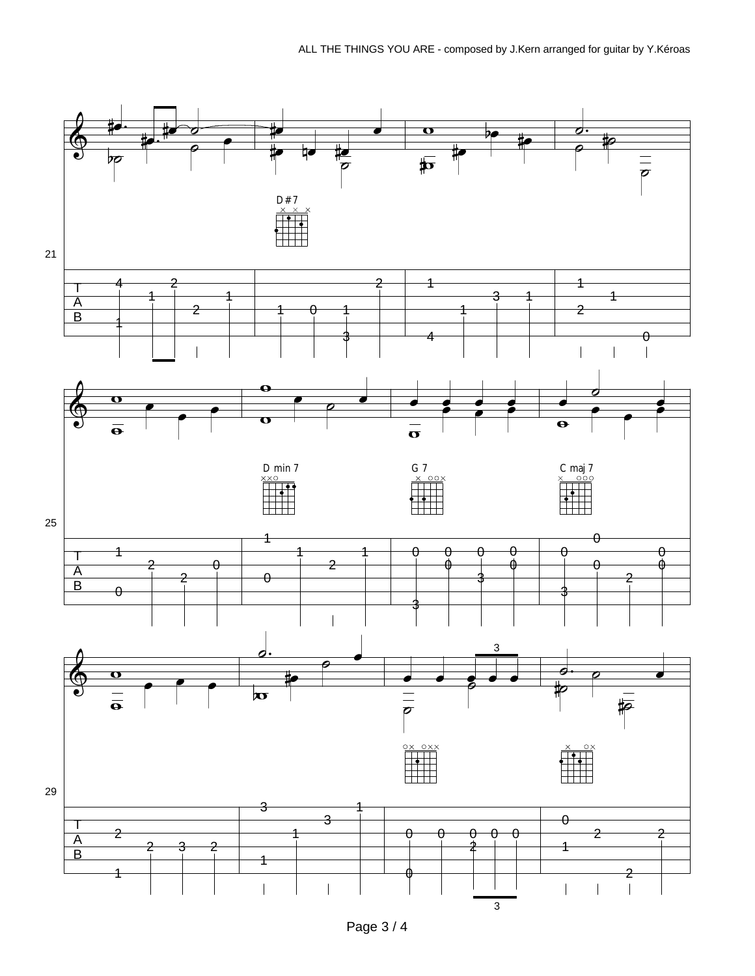